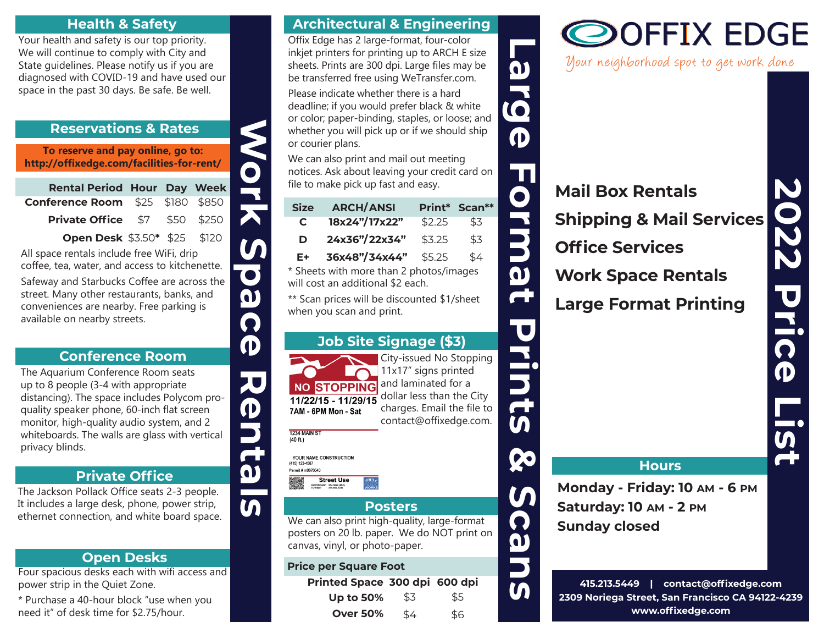#### **Health & Safety**

Your health and safety is our top priority. We will continue to comply with City and State guidelines. Please notify us if you are diagnosed with COVID-19 and have used our space in the past 30 days. Be safe. Be well.

#### **Reservations & Rates**

| <b>Reservations &amp; Rates</b>                                                                                                                                                                                                                                                         |             |            |             |  |
|-----------------------------------------------------------------------------------------------------------------------------------------------------------------------------------------------------------------------------------------------------------------------------------------|-------------|------------|-------------|--|
| To reserve and pay online, go to:<br>http://offixedge.com/facilities-for-rent/                                                                                                                                                                                                          |             |            |             |  |
| <b>Rental Period</b>                                                                                                                                                                                                                                                                    | <b>Hour</b> | <b>Day</b> | <b>Week</b> |  |
| <b>Conference Room</b>                                                                                                                                                                                                                                                                  | \$25        | \$180      | \$850       |  |
| <b>Private Office</b>                                                                                                                                                                                                                                                                   | \$7         | \$50       | \$250       |  |
| Open Desk \$3.50* \$25                                                                                                                                                                                                                                                                  |             |            | \$120       |  |
| afeway and Starbucks Coffee are across the<br>treet. Many other restaurants, banks, and<br>onveniences are nearby. Free parking is<br>vailable on nearby streets.                                                                                                                       |             |            |             |  |
| <b>Conference Room</b>                                                                                                                                                                                                                                                                  |             |            |             |  |
| he Aquarium Conference Room seats<br>p to 8 people (3-4 with appropriate<br>listancing). The space includes Polycom pro-<br>uality speaker phone, 60-inch flat screen<br>nonitor, high-quality audio system, and 2<br>vhiteboards. The walls are glass with vertical<br>privacy blinds. |             |            |             |  |
| <b>Private Office</b>                                                                                                                                                                                                                                                                   |             |            |             |  |
| he Jackson Pollack Office seats 2-3 people.<br>includes a large desk, phone, power strip,<br>thernet connection, and white beard space                                                                                                                                                  |             |            |             |  |

#### **Conference Room**

# **Private Office**

The Jackson Pollack Office seats 2-3 people. It includes a large desk, phone, power strip, ethernet connection, and white board space.

# **Open Desks**

Four spacious desks each with wifi access and power strip in the Quiet Zone.

\* Purchase a 40-hour block "use when you need it" of desk time for \$2.75/hour.

#### **Architectural & Engineering**

Offix Edge has 2 large-format, four-color inkjet printers for printing up to ARCH E size sheets. Prints are 300 dpi. Large files may be be transferred free using WeTransfer.com.

|                                                                 | Onix Edge has 2 large-format, four-color<br>inkjet printers for printing up to ARCH E size<br>sheets. Prints are 300 dpi. Large files may be<br>be transferred free using WeTransfer.com.<br>Please indicate whether there is a hard<br>deadline; if you would prefer black & white<br>or color; paper-binding, staples, or loose; and<br>whether you will pick up or if we should ship<br>or courier plans.<br>We can also print and mail out meeting<br>notices. Ask about leaving your credit card on |                                                                                                                                                             |               |       |
|-----------------------------------------------------------------|----------------------------------------------------------------------------------------------------------------------------------------------------------------------------------------------------------------------------------------------------------------------------------------------------------------------------------------------------------------------------------------------------------------------------------------------------------------------------------------------------------|-------------------------------------------------------------------------------------------------------------------------------------------------------------|---------------|-------|
|                                                                 | file to make pick up fast and easy.                                                                                                                                                                                                                                                                                                                                                                                                                                                                      |                                                                                                                                                             |               | JUNIO |
| <b>Size</b><br>C                                                | <b>ARCH/ANSI</b><br>18x24"/17x22"                                                                                                                                                                                                                                                                                                                                                                                                                                                                        | Print*<br>\$2.25                                                                                                                                            | Scan**<br>\$3 |       |
| D                                                               | 24x36"/22x34"                                                                                                                                                                                                                                                                                                                                                                                                                                                                                            | \$3.25                                                                                                                                                      | \$3           |       |
| E÷                                                              | 36x48"/34x44"<br>* Sheets with more than 2 photos/images<br>will cost an additional \$2 each.<br>** Scan prices will be discounted \$1/sheet<br>when you scan and print.                                                                                                                                                                                                                                                                                                                                 | \$5.25                                                                                                                                                      | \$4           |       |
|                                                                 | <b>Job Site Signage (\$3)</b>                                                                                                                                                                                                                                                                                                                                                                                                                                                                            |                                                                                                                                                             |               |       |
| 1234 MAIN ST<br>(40 ft.)<br>(415) 123-4567<br>Permit # m9876543 | <b>NO STOPPING</b><br>11/22/15 - 11/29/15<br>7AM - 6PM Mon - Sat<br>YOUR NAME CONSTRUCTION<br><b>Street Use</b>                                                                                                                                                                                                                                                                                                                                                                                          | City-issued No Stopping<br>11x17" signs printed<br>and laminated for a<br>dollar less than the City<br>charges. Email the file to<br>contact@offixedge.com. |               |       |
|                                                                 | QUESTIONS? 554.5824 (M-F)<br>TOWED? 415.553.1200                                                                                                                                                                                                                                                                                                                                                                                                                                                         |                                                                                                                                                             |               |       |
|                                                                 | We can also print high-quality, large-format<br>posters on 20 lb. paper. We do NOT print on<br>canvas, vinyl, or photo-paper.                                                                                                                                                                                                                                                                                                                                                                            | Posters                                                                                                                                                     |               | CILL  |
|                                                                 | <b>Price per Square Foot</b><br>Printed Space 300 dpi 600 dpi                                                                                                                                                                                                                                                                                                                                                                                                                                            |                                                                                                                                                             |               |       |
|                                                                 | $\mathsf{U}$ n to 50%                                                                                                                                                                                                                                                                                                                                                                                                                                                                                    | \$3                                                                                                                                                         | \$5           |       |

# **Job Site Signage (\$3)**



# **Posters**

#### **Price per Square Foot**

| Printed Space 300 dpi 600 dpi |     |     |
|-------------------------------|-----|-----|
| <b>Up to 50%</b>              | \$3 | \$5 |
| <b>Over 50%</b>               | \$4 | \$6 |

# **DOFFIX EDGE**

Your neighborhood spot to get work done

**Mail Box Rentals Shipping & Mail Services Office Services Work Space Rentals Large Format Printing**

#### **Hours**

**Monday - Friday: 10 AM - 6 PM Saturday: 10 AM - 2 PM Sunday closed**

**415.213.5449 | contact@offixedge.com 2309 Noriega Street, San Francisco CA 94122-4239 www.offixedge.com**